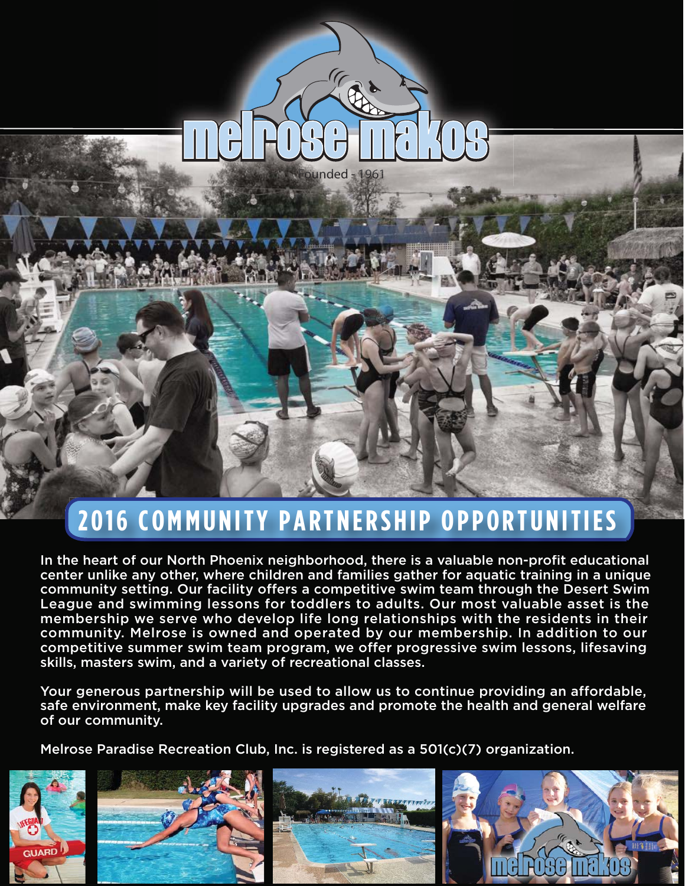# **2016 COMMUNITY PARTNERSHIP OPPORTUNITIES**

Founded - 1961

In the heart of our North Phoenix neighborhood, there is a valuable non-profit educational center unlike any other, where children and families gather for aquatic training in a unique community setting. Our facility offers a competitive swim team through the Desert Swim League and swimming lessons for toddlers to adults. Our most valuable asset is the membership we serve who develop life long relationships with the residents in their community. Melrose is owned and operated by our membership. In addition to our competitive summer swim team program, we offer progressive swim lessons, lifesaving skills, masters swim, and a variety of recreational classes.

Your generous partnership will be used to allow us to continue providing an affordable, safe environment, make key facility upgrades and promote the health and general welfare of our community.

Melrose Paradise Recreation Club, Inc. is registered as a 501(c)(7) organization.







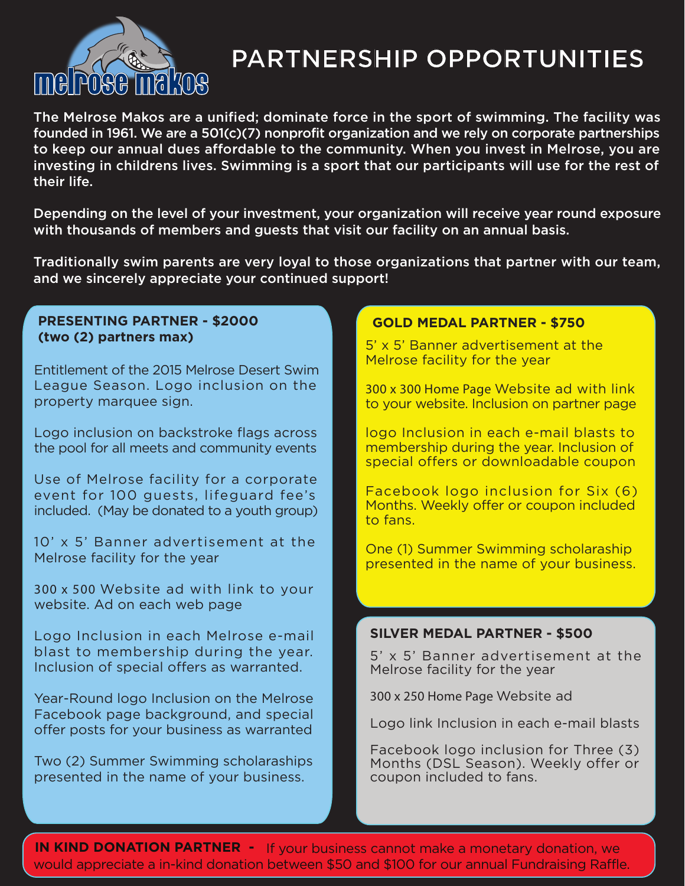

# **PARTNERSHIP OPPORTUNITIES**

The Melrose Makos are a unified; dominate force in the sport of swimming. The facility was founded in 1961. We are a 501(c)(7) nonprofit organization and we rely on corporate partnerships to keep our annual dues affordable to the community. When you invest in Melrose, you are investing in childrens lives. Swimming is a sport that our participants will use for the rest of their life.

Depending on the level of your investment, your organization will receive year round exposure with thousands of members and guests that visit our facility on an annual basis.

Traditionally swim parents are very loyal to those organizations that partner with our team, and we sincerely appreciate your continued support!

#### **PRESENTING PARTNER - \$2000 (two (2) partners max)**

Entitlement of the 2015 Melrose Desert Swim League Season. Logo inclusion on the property marquee sign.

Logo inclusion on backstroke flags across the pool for all meets and community events

Use of Melrose facility for a corporate event for 100 guests, lifeguard fee's included. (May be donated to a youth group)

10' x 5' Banner advertisement at the Melrose facility for the year

300 x 500 Website ad with link to your website. Ad on each web page

Logo Inclusion in each Melrose e-mail blast to membership during the year. Inclusion of special offers as warranted.

Year-Round logo Inclusion on the Melrose Facebook page background, and special offer posts for your business as warranted

Two (2) Summer Swimming scholaraships presented in the name of your business.

#### **GOLD MEDAL PARTNER - \$750**

5' x 5' Banner advertisement at the Melrose facility for the year

300 x 300 Home Page Website ad with link to your website. Inclusion on partner page

logo Inclusion in each e-mail blasts to membership during the year. Inclusion of special offers or downloadable coupon

Facebook logo inclusion for Six (6) Months. Weekly offer or coupon included to fans.

One (1) Summer Swimming scholaraship presented in the name of your business.

#### **SILVER MEDAL PARTNER - \$500**

5' x 5' Banner advertisement at the Melrose facility for the year

300 x 250 Home Page Website ad

Logo link Inclusion in each e-mail blasts

Facebook logo inclusion for Three (3) Months (DSL Season). Weekly offer or coupon included to fans.

**IN KIND DONATION PARTNER -** If your business cannot make a monetary donation, we would appreciate a in-kind donation between \$50 and \$100 for our annual Fundraising Raffle.